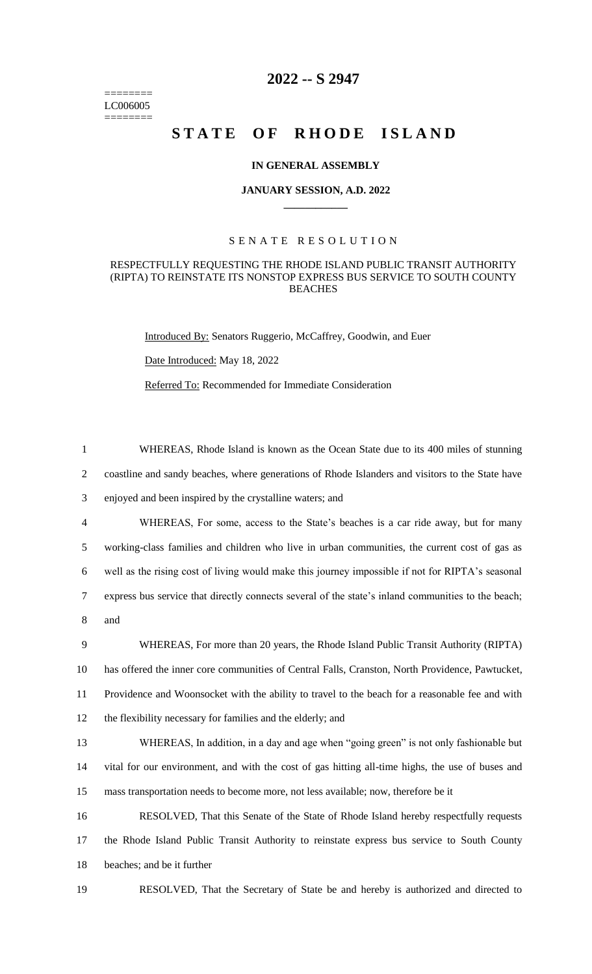======== LC006005 ========

# **2022 -- S 2947**

# **STATE OF RHODE ISLAND**

### **IN GENERAL ASSEMBLY**

#### **JANUARY SESSION, A.D. 2022 \_\_\_\_\_\_\_\_\_\_\_\_**

## S E N A T E R E S O L U T I O N

#### RESPECTFULLY REQUESTING THE RHODE ISLAND PUBLIC TRANSIT AUTHORITY (RIPTA) TO REINSTATE ITS NONSTOP EXPRESS BUS SERVICE TO SOUTH COUNTY BEACHES

Introduced By: Senators Ruggerio, McCaffrey, Goodwin, and Euer

Date Introduced: May 18, 2022

Referred To: Recommended for Immediate Consideration

 WHEREAS, Rhode Island is known as the Ocean State due to its 400 miles of stunning coastline and sandy beaches, where generations of Rhode Islanders and visitors to the State have enjoyed and been inspired by the crystalline waters; and WHEREAS, For some, access to the State's beaches is a car ride away, but for many working-class families and children who live in urban communities, the current cost of gas as well as the rising cost of living would make this journey impossible if not for RIPTA's seasonal express bus service that directly connects several of the state's inland communities to the beach; 8 and WHEREAS, For more than 20 years, the Rhode Island Public Transit Authority (RIPTA) has offered the inner core communities of Central Falls, Cranston, North Providence, Pawtucket, Providence and Woonsocket with the ability to travel to the beach for a reasonable fee and with the flexibility necessary for families and the elderly; and WHEREAS, In addition, in a day and age when "going green" is not only fashionable but vital for our environment, and with the cost of gas hitting all-time highs, the use of buses and mass transportation needs to become more, not less available; now, therefore be it RESOLVED, That this Senate of the State of Rhode Island hereby respectfully requests the Rhode Island Public Transit Authority to reinstate express bus service to South County beaches; and be it further

19 RESOLVED, That the Secretary of State be and hereby is authorized and directed to